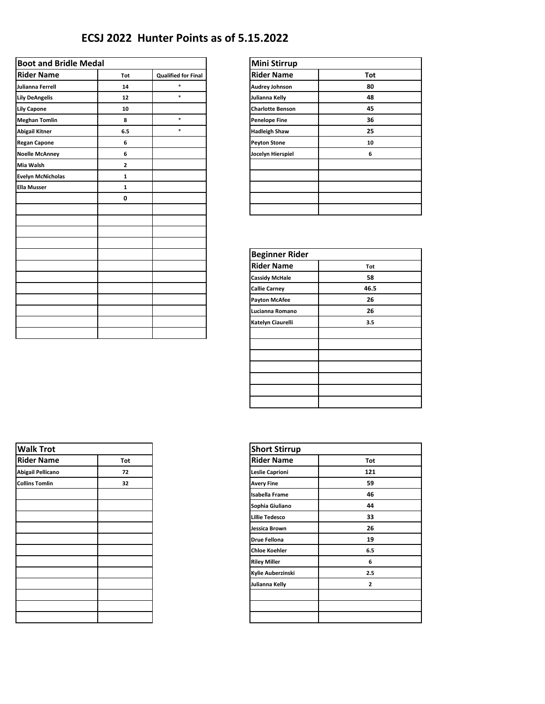## **ECSJ 2022 Hunter Points as of 5.15.2022**

| <b>Boot and Bridle Medal</b> |                |                            | <b>Mini Stirrup</b>     |     |
|------------------------------|----------------|----------------------------|-------------------------|-----|
| <b>Rider Name</b>            | Tot            | <b>Qualified for Final</b> | <b>Rider Name</b>       | Tot |
| Julianna Ferrell             | 14             | $\ast$                     | <b>Audrey Johnson</b>   |     |
| <b>Lily DeAngelis</b>        | 12             | $\ast$                     | Julianna Kelly          |     |
| <b>Lily Capone</b>           | 10             |                            | <b>Charlotte Benson</b> |     |
| <b>Meghan Tomlin</b>         | 8              | $\ast$                     | <b>Penelope Fine</b>    |     |
| <b>Abigail Kitner</b>        | 6.5            | $\ast$                     | <b>Hadleigh Shaw</b>    |     |
| <b>Regan Capone</b>          | 6              |                            | <b>Peyton Stone</b>     |     |
| <b>Noelle McAnney</b>        | 6              |                            | Jocelyn Hierspiel       |     |
| Mia Walsh                    | $\overline{2}$ |                            |                         |     |
| <b>Evelyn McNicholas</b>     | $\mathbf{1}$   |                            |                         |     |
| <b>Ella Musser</b>           | $\mathbf{1}$   |                            |                         |     |
|                              | 0              |                            |                         |     |
|                              |                |                            |                         |     |
|                              |                |                            |                         |     |
|                              |                |                            |                         |     |
|                              |                |                            | <b>Beginner Rider</b>   |     |
|                              |                |                            | <b>Rider Name</b>       |     |
|                              |                |                            | <b>Cassidy McHale</b>   |     |
|                              |                |                            | <b>Callie Carney</b>    |     |
|                              |                |                            | <b>Payton McAfee</b>    |     |
|                              |                |                            | Lucianna Romano         |     |
|                              |                |                            |                         |     |

| <b>Mini Stirrup</b>     |     |
|-------------------------|-----|
| <b>Rider Name</b>       | Tot |
| <b>Audrey Johnson</b>   | 80  |
| Julianna Kelly          | 48  |
| <b>Charlotte Benson</b> | 45  |
| <b>Penelope Fine</b>    | 36  |
| <b>Hadleigh Shaw</b>    | 25  |
| <b>Peyton Stone</b>     | 10  |
| Jocelyn Hierspiel       | 6   |
|                         |     |
|                         |     |
|                         |     |
|                         |     |
|                         |     |

| <b>Beginner Rider</b> |      |
|-----------------------|------|
| <b>Rider Name</b>     | Tot  |
| <b>Cassidy McHale</b> | 58   |
| <b>Callie Carney</b>  | 46.5 |
| <b>Payton McAfee</b>  | 26   |
| Lucianna Romano       | 26   |
| Katelyn Ciaurelli     | 3.5  |
|                       |      |
|                       |      |
|                       |      |
|                       |      |
|                       |      |
|                       |      |
|                       |      |

| <b>Walk Trot</b>      |     | <b>Short Stirrup</b>  |              |
|-----------------------|-----|-----------------------|--------------|
| <b>Rider Name</b>     | Tot | <b>Rider Name</b>     | Tot          |
| Abigail Pellicano     | 72  | Leslie Caprioni       | 121          |
| <b>Collins Tomlin</b> | 32  | <b>Avery Fine</b>     | 59           |
|                       |     | <b>Isabella Frame</b> | 46           |
|                       |     | Sophia Giuliano       | 44           |
|                       |     | <b>Lillie Tedesco</b> | 33           |
|                       |     | Jessica Brown         | 26           |
|                       |     | <b>Drue Fellona</b>   | 19           |
|                       |     | <b>Chloe Koehler</b>  | 6.5          |
|                       |     | <b>Riley Miller</b>   | 6            |
|                       |     | Kylie Auberzinski     | 2.5          |
|                       |     | Julianna Kelly        | $\mathbf{2}$ |
|                       |     |                       |              |
|                       |     |                       |              |
|                       |     |                       |              |

| <b>Short Stirrup</b>  |                |
|-----------------------|----------------|
| <b>Rider Name</b>     | Tot            |
| Leslie Caprioni       | 121            |
| <b>Avery Fine</b>     | 59             |
| <b>Isabella Frame</b> | 46             |
| Sophia Giuliano       | 44             |
| <b>Lillie Tedesco</b> | 33             |
| Jessica Brown         | 26             |
| <b>Drue Fellona</b>   | 19             |
| <b>Chloe Koehler</b>  | 6.5            |
| <b>Riley Miller</b>   | 6              |
| Kylie Auberzinski     | 2.5            |
| Julianna Kelly        | $\overline{2}$ |
|                       |                |
|                       |                |
|                       |                |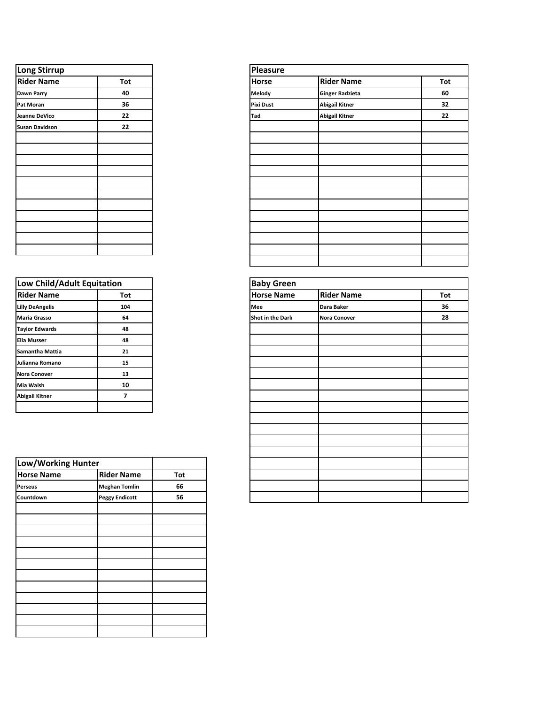| Long Stirrup          |     | Pleasure         |
|-----------------------|-----|------------------|
| <b>Rider Name</b>     | Tot | Horse            |
| Dawn Parry            | 40  | Melody           |
| Pat Moran             | 36  | <b>Pixi Dust</b> |
| Jeanne DeVico         | 22  | Tad              |
| <b>Susan Davidson</b> | 22  |                  |
|                       |     |                  |
|                       |     |                  |
|                       |     |                  |
|                       |     |                  |
|                       |     |                  |
|                       |     |                  |
|                       |     |                  |
|                       |     |                  |
|                       |     |                  |
|                       |     |                  |
|                       |     |                  |

| Low Child/Adult Equitation |     | <b>Baby Green</b> |
|----------------------------|-----|-------------------|
| <b>Rider Name</b>          | Tot | <b>Horse Name</b> |
| <b>Lilly DeAngelis</b>     | 104 | Mee               |
| <b>Maria Grasso</b>        | 64  | Shot in the Dark  |
| <b>Taylor Edwards</b>      | 48  |                   |
| <b>Ella Musser</b>         | 48  |                   |
| Samantha Mattia            | 21  |                   |
| Julianna Romano            | 15  |                   |
| <b>Nora Conover</b>        | 13  |                   |
| Mia Walsh                  | 10  |                   |
| <b>Abigail Kitner</b>      | 7   |                   |
|                            |     |                   |

| Low/Working Hunter |                       |     |
|--------------------|-----------------------|-----|
| <b>Horse Name</b>  | <b>Rider Name</b>     | Tot |
| <b>Perseus</b>     | <b>Meghan Tomlin</b>  | 66  |
| Countdown          | <b>Peggy Endicott</b> | 56  |
|                    |                       |     |
|                    |                       |     |
|                    |                       |     |
|                    |                       |     |
|                    |                       |     |
|                    |                       |     |
|                    |                       |     |
|                    |                       |     |
|                    |                       |     |
|                    |                       |     |
|                    |                       |     |
|                    |                       |     |

| <b>Long Stirrup</b> |     |
|---------------------|-----|
| <b>Rider Name</b>   | Tot |
| Dawn Parry          | 40  |
| Pat Moran           | 36  |
| Jeanne DeVico       | 22  |
| Susan Davidson      | 22  |
|                     |     |
|                     |     |
|                     |     |
|                     |     |
|                     |     |
|                     |     |
|                     |     |
|                     |     |
|                     |     |
|                     |     |
|                     |     |
|                     |     |

| Low Child/Adult Equitation |                       |     | <b>Baby Green</b> |                     |     |
|----------------------------|-----------------------|-----|-------------------|---------------------|-----|
| <b>Rider Name</b>          | Tot                   |     | <b>Horse Name</b> | <b>Rider Name</b>   | Tot |
| <b>Lilly DeAngelis</b>     | 104                   |     | Mee               | Dara Baker          | 36  |
| Maria Grasso               | 64                    |     | Shot in the Dark  | <b>Nora Conover</b> | 28  |
| <b>Taylor Edwards</b>      | 48                    |     |                   |                     |     |
| <b>Ella Musser</b>         | 48                    |     |                   |                     |     |
| Samantha Mattia            | 21                    |     |                   |                     |     |
| Julianna Romano            | 15                    |     |                   |                     |     |
| Nora Conover               | 13                    |     |                   |                     |     |
| Mia Walsh                  | 10                    |     |                   |                     |     |
| Abigail Kitner             | $\overline{7}$        |     |                   |                     |     |
|                            |                       |     |                   |                     |     |
|                            |                       |     |                   |                     |     |
|                            |                       |     |                   |                     |     |
|                            |                       |     |                   |                     |     |
|                            |                       |     |                   |                     |     |
| Low/Working Hunter         |                       |     |                   |                     |     |
| <b>Horse Name</b>          | <b>Rider Name</b>     | Tot |                   |                     |     |
| Perseus                    | <b>Meghan Tomlin</b>  | 66  |                   |                     |     |
| Countdown                  | <b>Peggy Endicott</b> | 56  |                   |                     |     |